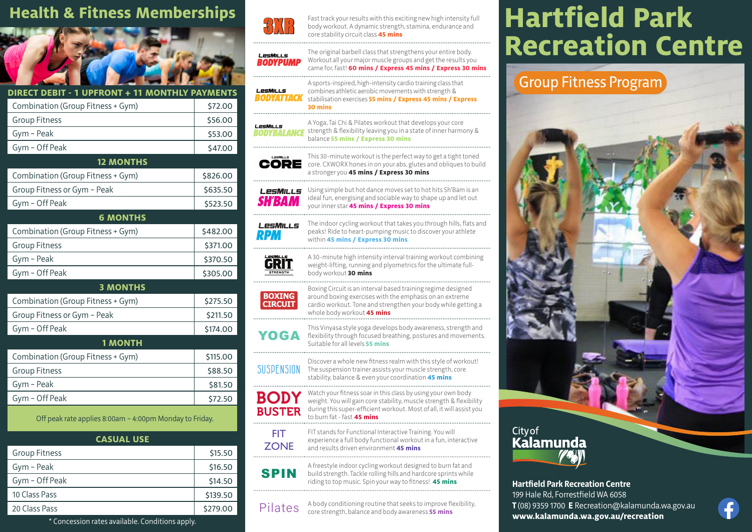

| Combination (Group Fitness + Gym)<br>\$72.00<br><b>Group Fitness</b><br>\$56.00<br>Gym - Peak<br>\$53.00<br>Gym - Off Peak<br>\$47.00<br><b>12 MONTHS</b><br>Combination (Group Fitness + Gym)<br>\$826.00<br>Group Fitness or Gym - Peak<br>\$635.50<br>Gym - Off Peak<br>\$523.50<br><b>6 MONTHS</b><br>Combination (Group Fitness + Gym)<br>\$482.00<br><b>Group Fitness</b><br>\$371.00<br>Gym - Peak<br>\$370.50<br>Gym - Off Peak<br>\$305.00<br><b>3 MONTHS</b><br>Combination (Group Fitness + Gym)<br>\$275.50<br>Group Fitness or Gym - Peak<br>\$211.50<br>Gym - Off Peak<br>\$174.00<br><b>1 MONTH</b><br>Combination (Group Fitness + Gym)<br>\$115.00<br><b>Group Fitness</b><br>\$88.50<br>Gym - Peak<br>\$81.50<br>Gym - Off Peak<br>\$72.50 | DIRECT DEBIT - 1 UPFRONT + 11 MONTHLY PAYMENTS |  |  |  |  |
|--------------------------------------------------------------------------------------------------------------------------------------------------------------------------------------------------------------------------------------------------------------------------------------------------------------------------------------------------------------------------------------------------------------------------------------------------------------------------------------------------------------------------------------------------------------------------------------------------------------------------------------------------------------------------------------------------------------------------------------------------------------|------------------------------------------------|--|--|--|--|
|                                                                                                                                                                                                                                                                                                                                                                                                                                                                                                                                                                                                                                                                                                                                                              |                                                |  |  |  |  |
|                                                                                                                                                                                                                                                                                                                                                                                                                                                                                                                                                                                                                                                                                                                                                              |                                                |  |  |  |  |
|                                                                                                                                                                                                                                                                                                                                                                                                                                                                                                                                                                                                                                                                                                                                                              |                                                |  |  |  |  |
|                                                                                                                                                                                                                                                                                                                                                                                                                                                                                                                                                                                                                                                                                                                                                              |                                                |  |  |  |  |
|                                                                                                                                                                                                                                                                                                                                                                                                                                                                                                                                                                                                                                                                                                                                                              |                                                |  |  |  |  |
|                                                                                                                                                                                                                                                                                                                                                                                                                                                                                                                                                                                                                                                                                                                                                              |                                                |  |  |  |  |
|                                                                                                                                                                                                                                                                                                                                                                                                                                                                                                                                                                                                                                                                                                                                                              |                                                |  |  |  |  |
|                                                                                                                                                                                                                                                                                                                                                                                                                                                                                                                                                                                                                                                                                                                                                              |                                                |  |  |  |  |
|                                                                                                                                                                                                                                                                                                                                                                                                                                                                                                                                                                                                                                                                                                                                                              |                                                |  |  |  |  |
|                                                                                                                                                                                                                                                                                                                                                                                                                                                                                                                                                                                                                                                                                                                                                              |                                                |  |  |  |  |
|                                                                                                                                                                                                                                                                                                                                                                                                                                                                                                                                                                                                                                                                                                                                                              |                                                |  |  |  |  |
|                                                                                                                                                                                                                                                                                                                                                                                                                                                                                                                                                                                                                                                                                                                                                              |                                                |  |  |  |  |
|                                                                                                                                                                                                                                                                                                                                                                                                                                                                                                                                                                                                                                                                                                                                                              |                                                |  |  |  |  |
|                                                                                                                                                                                                                                                                                                                                                                                                                                                                                                                                                                                                                                                                                                                                                              |                                                |  |  |  |  |
|                                                                                                                                                                                                                                                                                                                                                                                                                                                                                                                                                                                                                                                                                                                                                              |                                                |  |  |  |  |
|                                                                                                                                                                                                                                                                                                                                                                                                                                                                                                                                                                                                                                                                                                                                                              |                                                |  |  |  |  |
|                                                                                                                                                                                                                                                                                                                                                                                                                                                                                                                                                                                                                                                                                                                                                              |                                                |  |  |  |  |
|                                                                                                                                                                                                                                                                                                                                                                                                                                                                                                                                                                                                                                                                                                                                                              |                                                |  |  |  |  |
|                                                                                                                                                                                                                                                                                                                                                                                                                                                                                                                                                                                                                                                                                                                                                              |                                                |  |  |  |  |
|                                                                                                                                                                                                                                                                                                                                                                                                                                                                                                                                                                                                                                                                                                                                                              |                                                |  |  |  |  |
|                                                                                                                                                                                                                                                                                                                                                                                                                                                                                                                                                                                                                                                                                                                                                              |                                                |  |  |  |  |
|                                                                                                                                                                                                                                                                                                                                                                                                                                                                                                                                                                                                                                                                                                                                                              |                                                |  |  |  |  |

Off peak rate applies 8:00am – 4:00pm Monday to Friday.

| <b>CASUAL USE</b>    |          |  |  |  |
|----------------------|----------|--|--|--|
| <b>Group Fitness</b> | \$15.50  |  |  |  |
| Gym - Peak           | \$16.50  |  |  |  |
| Gym - Off Peak       | \$14.50  |  |  |  |
| 10 Class Pass        | \$139.50 |  |  |  |
| 20 Class Pass        | \$279.00 |  |  |  |



body workout. A dynamic strength, stamina, endurance and core stability circuit class **45 mins**



The original barbell class that strengthens your entire body. Workout all your major muscle groups and get the results you came for, fast! **60 mins / Express 45 mins / Express 30 mins**

A sports-inspired, high-intensity cardio training class that LesMiLLs combines athletic aerobic movements with strength & **BODYATTACK** stabilisation exercises **55 mins / Express 45 mins / Express 30 mins**

A Yoga, Tai Chi & Pilates workout that develops your core LesMiLLs **BODYBALANCE** strength & flexibility leaving you in a state of inner harmony & balance **55 mins / Express 30 mins**

your inner star **45 mins / Express 30 mins**

within **45 mins / Express 30 mins**

body workout **30 mins**

This 30-minute workout is the perfect way to get a tight toned LesMiLLS **CORE** core. CXWORX hones in on your abs, glutes and obliques to build a stronger you **45 mins / Express 30 mins**



LesMILLS **RPM** 





Boxing Circuit is an interval based training regime designed around boxing exercises with the emphasis on an extreme cardio workout. Tone and strengthen your body while getting a whole body workout **45 mins**

Using simple but hot dance moves set to hot hits Sh'Bam is an ideal fun, energising and sociable way to shape up and let out

The indoor cycling workout that takes you through hills, flats and peaks! Ride to heart-pumping music to discover your athlete

A 30-minute high intensity interval training workout combining weight-lifting, running and plyometrics for the ultimate full-

This Vinyasa style yoga develops body awareness, strength and<br> **YOGA** flexibility through focused breathing, postures and movements. Suitable for all levels **55 mins**

- SUSPENSION Discover a whole new fitness realm with this style of workout! The suspension trainer assists your muscle strength, core stability, balance & even your coordination **45 mins**
- **BODY** BUSTER Watch your fitness soar in this class by using your own body weight. You will gain core stability, muscle strength & flexibility during this super-efficient workout. Most of all, it will assist you to burn fat - fast **45 mins**
	- FIT ZONE FIT stands for Functional Interactive Training. You will experience a full body functional workout in a fun, interactive and results driven environment **45 mins**

A freestyle indoor cycling workout designed to burn fat and build strength. Tackle rolling hills and hardcore sprints while riding to top music. Spin your way to fitness! **45 mins**

Pilates A body conditioning routine that seeks to improve flexibility, core strength, balance and body awareness **55 mins**

# Health & Fitness Memberships **RATE** Fast track your results with this exciting new high intensity full **Hartfield Park Recreation Centre 3x8 as and the criginal barbell class 45 mins**<br> **Recreation Centre Centre**

### Group Fitness Program



**Hartfield Park Recreation Centre** 199 Hale Rd, Forrestfield WA 6058 **T** (08) 9359 1700 **E** Recreation@kalamunda.wa.gov.au **www.kalamunda.wa.gov.au/recreation**



\* Concession rates available. Conditions apply.